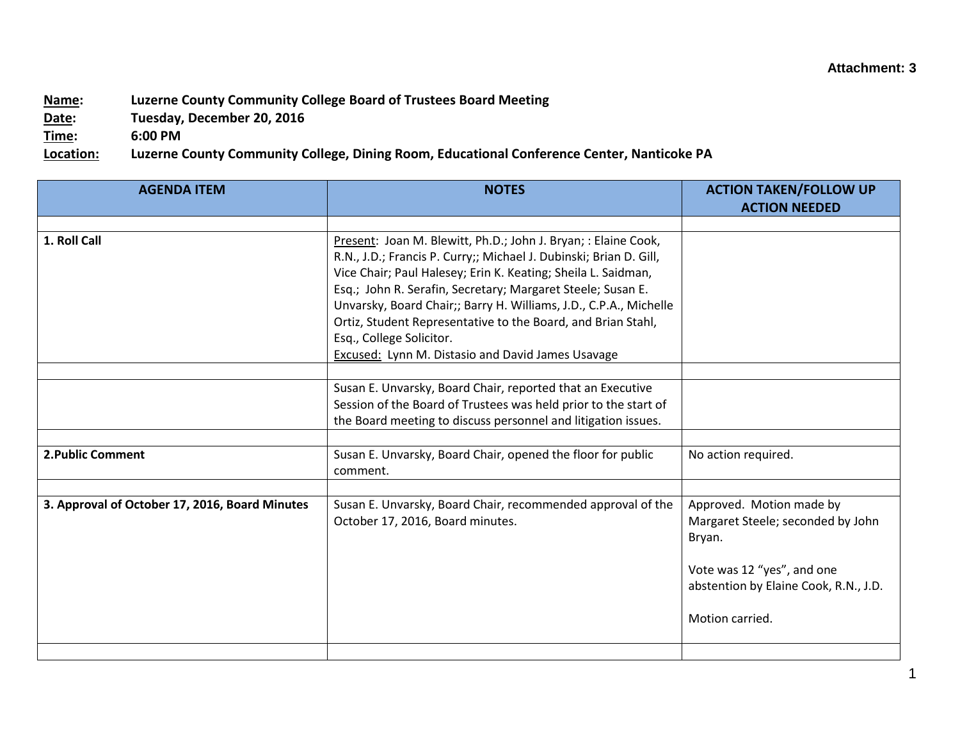## **Attachment: 3**

## **Name: Luzerne County Community College Board of Trustees Board Meeting**

**Date: Tuesday, December 20, 2016**

**Time: 6:00 PM**

**Location: Luzerne County Community College, Dining Room, Educational Conference Center, Nanticoke PA**

| <b>AGENDA ITEM</b>                             | <b>NOTES</b>                                                                                                                                                                                                                                                                                                                                                                                                                                                                                      | <b>ACTION TAKEN/FOLLOW UP</b><br><b>ACTION NEEDED</b>                                                                                                             |
|------------------------------------------------|---------------------------------------------------------------------------------------------------------------------------------------------------------------------------------------------------------------------------------------------------------------------------------------------------------------------------------------------------------------------------------------------------------------------------------------------------------------------------------------------------|-------------------------------------------------------------------------------------------------------------------------------------------------------------------|
|                                                |                                                                                                                                                                                                                                                                                                                                                                                                                                                                                                   |                                                                                                                                                                   |
| 1. Roll Call                                   | Present: Joan M. Blewitt, Ph.D.; John J. Bryan; : Elaine Cook,<br>R.N., J.D.; Francis P. Curry;; Michael J. Dubinski; Brian D. Gill,<br>Vice Chair; Paul Halesey; Erin K. Keating; Sheila L. Saidman,<br>Esq.; John R. Serafin, Secretary; Margaret Steele; Susan E.<br>Unvarsky, Board Chair;; Barry H. Williams, J.D., C.P.A., Michelle<br>Ortiz, Student Representative to the Board, and Brian Stahl,<br>Esq., College Solicitor.<br><b>Excused: Lynn M. Distasio and David James Usavage</b> |                                                                                                                                                                   |
|                                                |                                                                                                                                                                                                                                                                                                                                                                                                                                                                                                   |                                                                                                                                                                   |
|                                                | Susan E. Unvarsky, Board Chair, reported that an Executive<br>Session of the Board of Trustees was held prior to the start of<br>the Board meeting to discuss personnel and litigation issues.                                                                                                                                                                                                                                                                                                    |                                                                                                                                                                   |
|                                                |                                                                                                                                                                                                                                                                                                                                                                                                                                                                                                   |                                                                                                                                                                   |
| 2. Public Comment                              | Susan E. Unvarsky, Board Chair, opened the floor for public<br>comment.                                                                                                                                                                                                                                                                                                                                                                                                                           | No action required.                                                                                                                                               |
|                                                |                                                                                                                                                                                                                                                                                                                                                                                                                                                                                                   |                                                                                                                                                                   |
| 3. Approval of October 17, 2016, Board Minutes | Susan E. Unvarsky, Board Chair, recommended approval of the<br>October 17, 2016, Board minutes.                                                                                                                                                                                                                                                                                                                                                                                                   | Approved. Motion made by<br>Margaret Steele; seconded by John<br>Bryan.<br>Vote was 12 "yes", and one<br>abstention by Elaine Cook, R.N., J.D.<br>Motion carried. |
|                                                |                                                                                                                                                                                                                                                                                                                                                                                                                                                                                                   |                                                                                                                                                                   |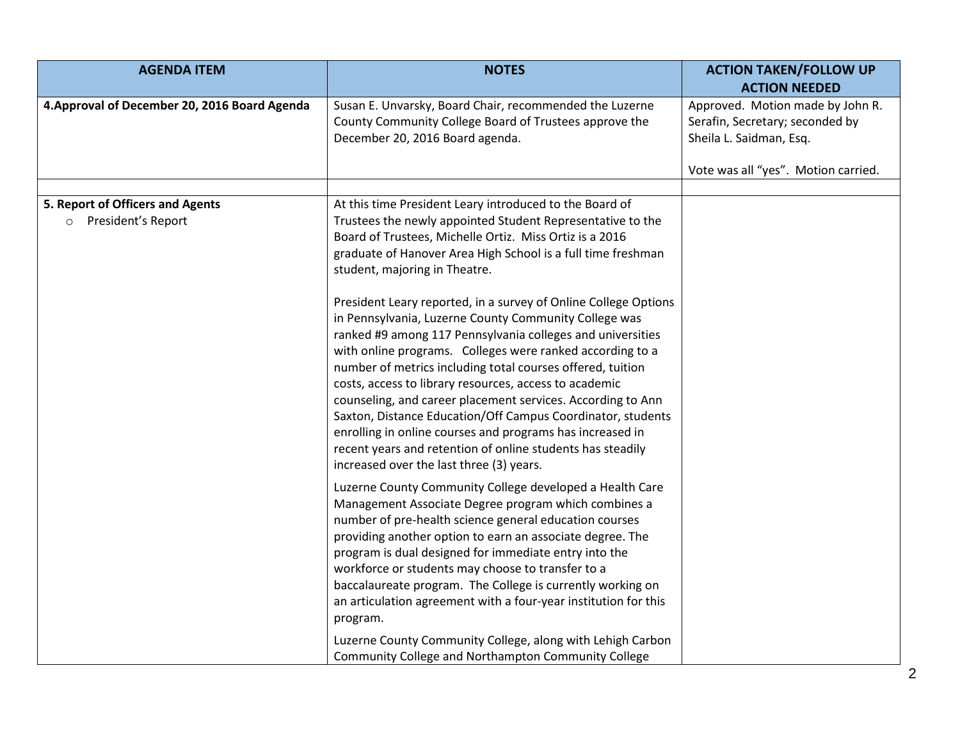| <b>AGENDA ITEM</b>                                                | <b>NOTES</b>                                                                                                                                                                                                                                                                                                                                                                                                                                                                                                                                                                                                                                                                                                                                                                                   | <b>ACTION TAKEN/FOLLOW UP</b><br><b>ACTION NEEDED</b>                                                                                 |
|-------------------------------------------------------------------|------------------------------------------------------------------------------------------------------------------------------------------------------------------------------------------------------------------------------------------------------------------------------------------------------------------------------------------------------------------------------------------------------------------------------------------------------------------------------------------------------------------------------------------------------------------------------------------------------------------------------------------------------------------------------------------------------------------------------------------------------------------------------------------------|---------------------------------------------------------------------------------------------------------------------------------------|
| 4. Approval of December 20, 2016 Board Agenda                     | Susan E. Unvarsky, Board Chair, recommended the Luzerne<br>County Community College Board of Trustees approve the<br>December 20, 2016 Board agenda.                                                                                                                                                                                                                                                                                                                                                                                                                                                                                                                                                                                                                                           | Approved. Motion made by John R.<br>Serafin, Secretary; seconded by<br>Sheila L. Saidman, Esq.<br>Vote was all "yes". Motion carried. |
| 5. Report of Officers and Agents<br>President's Report<br>$\circ$ | At this time President Leary introduced to the Board of<br>Trustees the newly appointed Student Representative to the<br>Board of Trustees, Michelle Ortiz. Miss Ortiz is a 2016<br>graduate of Hanover Area High School is a full time freshman<br>student, majoring in Theatre.<br>President Leary reported, in a survey of Online College Options<br>in Pennsylvania, Luzerne County Community College was<br>ranked #9 among 117 Pennsylvania colleges and universities<br>with online programs. Colleges were ranked according to a<br>number of metrics including total courses offered, tuition<br>costs, access to library resources, access to academic<br>counseling, and career placement services. According to Ann<br>Saxton, Distance Education/Off Campus Coordinator, students |                                                                                                                                       |
|                                                                   | enrolling in online courses and programs has increased in<br>recent years and retention of online students has steadily<br>increased over the last three (3) years.<br>Luzerne County Community College developed a Health Care<br>Management Associate Degree program which combines a<br>number of pre-health science general education courses<br>providing another option to earn an associate degree. The                                                                                                                                                                                                                                                                                                                                                                                 |                                                                                                                                       |
|                                                                   | program is dual designed for immediate entry into the<br>workforce or students may choose to transfer to a<br>baccalaureate program. The College is currently working on<br>an articulation agreement with a four-year institution for this<br>program.<br>Luzerne County Community College, along with Lehigh Carbon<br>Community College and Northampton Community College                                                                                                                                                                                                                                                                                                                                                                                                                   |                                                                                                                                       |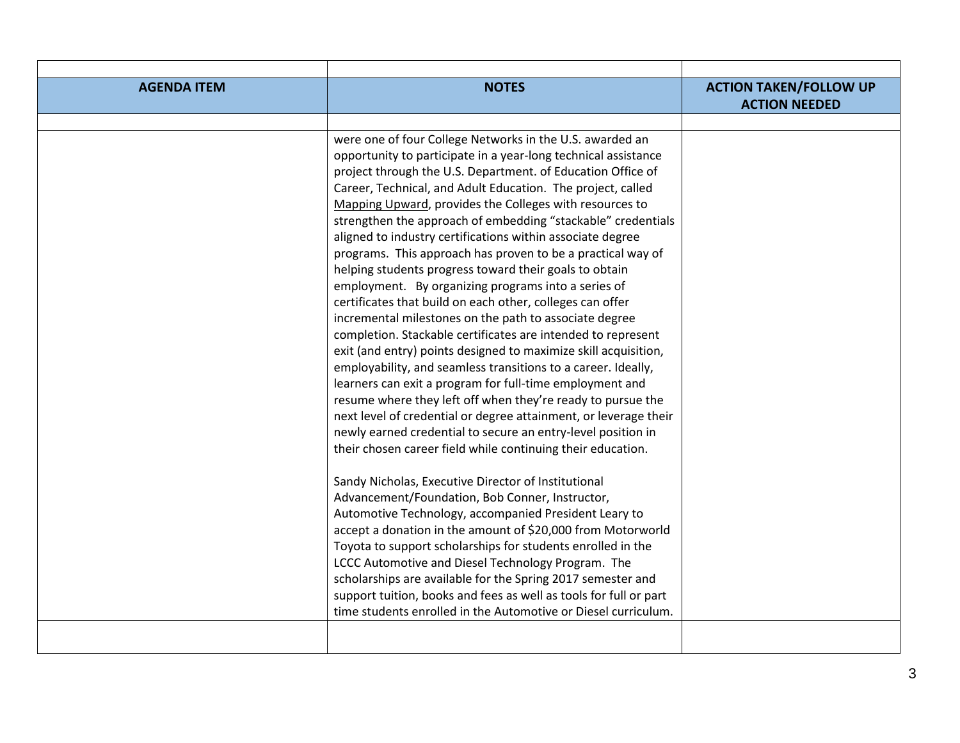| <b>AGENDA ITEM</b> | <b>NOTES</b>                                                                                                            | <b>ACTION TAKEN/FOLLOW UP</b> |
|--------------------|-------------------------------------------------------------------------------------------------------------------------|-------------------------------|
|                    |                                                                                                                         | <b>ACTION NEEDED</b>          |
|                    |                                                                                                                         |                               |
|                    | were one of four College Networks in the U.S. awarded an                                                                |                               |
|                    | opportunity to participate in a year-long technical assistance                                                          |                               |
|                    | project through the U.S. Department. of Education Office of                                                             |                               |
|                    | Career, Technical, and Adult Education. The project, called                                                             |                               |
|                    | Mapping Upward, provides the Colleges with resources to                                                                 |                               |
|                    | strengthen the approach of embedding "stackable" credentials                                                            |                               |
|                    | aligned to industry certifications within associate degree                                                              |                               |
|                    | programs. This approach has proven to be a practical way of                                                             |                               |
|                    | helping students progress toward their goals to obtain                                                                  |                               |
|                    | employment. By organizing programs into a series of                                                                     |                               |
|                    | certificates that build on each other, colleges can offer                                                               |                               |
|                    | incremental milestones on the path to associate degree                                                                  |                               |
|                    | completion. Stackable certificates are intended to represent                                                            |                               |
|                    | exit (and entry) points designed to maximize skill acquisition,                                                         |                               |
|                    | employability, and seamless transitions to a career. Ideally,                                                           |                               |
|                    | learners can exit a program for full-time employment and<br>resume where they left off when they're ready to pursue the |                               |
|                    | next level of credential or degree attainment, or leverage their                                                        |                               |
|                    | newly earned credential to secure an entry-level position in                                                            |                               |
|                    | their chosen career field while continuing their education.                                                             |                               |
|                    |                                                                                                                         |                               |
|                    | Sandy Nicholas, Executive Director of Institutional                                                                     |                               |
|                    | Advancement/Foundation, Bob Conner, Instructor,                                                                         |                               |
|                    | Automotive Technology, accompanied President Leary to                                                                   |                               |
|                    | accept a donation in the amount of \$20,000 from Motorworld                                                             |                               |
|                    | Toyota to support scholarships for students enrolled in the                                                             |                               |
|                    | LCCC Automotive and Diesel Technology Program. The                                                                      |                               |
|                    | scholarships are available for the Spring 2017 semester and                                                             |                               |
|                    | support tuition, books and fees as well as tools for full or part                                                       |                               |
|                    | time students enrolled in the Automotive or Diesel curriculum.                                                          |                               |
|                    |                                                                                                                         |                               |
|                    |                                                                                                                         |                               |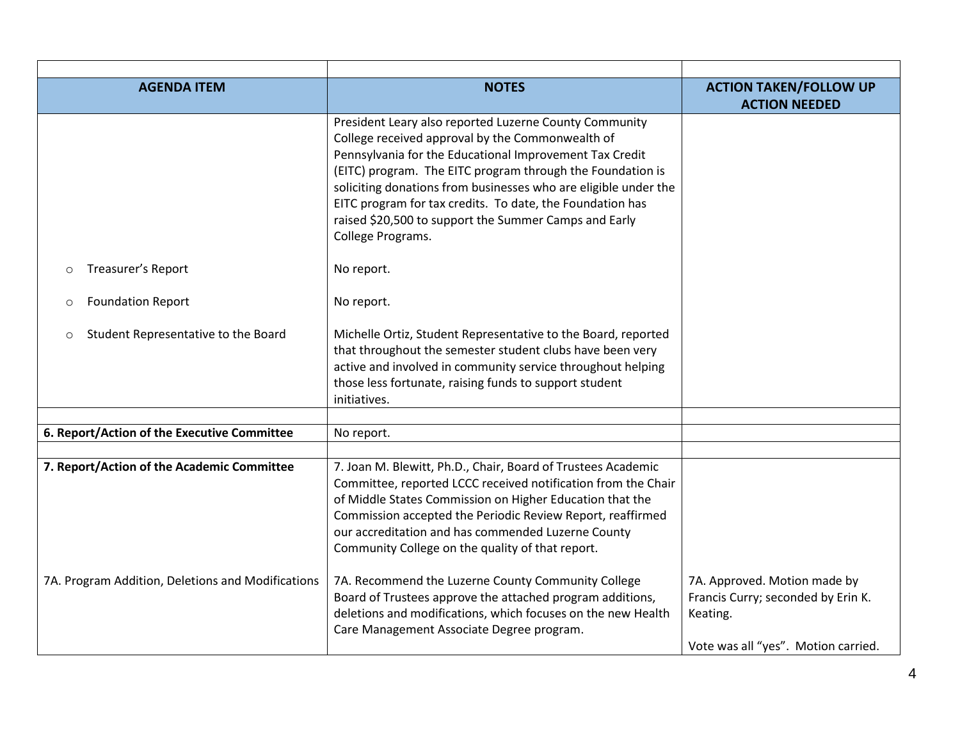| <b>AGENDA ITEM</b>                                | <b>NOTES</b>                                                                                               | <b>ACTION TAKEN/FOLLOW UP</b>       |
|---------------------------------------------------|------------------------------------------------------------------------------------------------------------|-------------------------------------|
|                                                   |                                                                                                            | <b>ACTION NEEDED</b>                |
|                                                   | President Leary also reported Luzerne County Community<br>College received approval by the Commonwealth of |                                     |
|                                                   | Pennsylvania for the Educational Improvement Tax Credit                                                    |                                     |
|                                                   | (EITC) program. The EITC program through the Foundation is                                                 |                                     |
|                                                   | soliciting donations from businesses who are eligible under the                                            |                                     |
|                                                   | EITC program for tax credits. To date, the Foundation has                                                  |                                     |
|                                                   | raised \$20,500 to support the Summer Camps and Early                                                      |                                     |
|                                                   | College Programs.                                                                                          |                                     |
| Treasurer's Report<br>$\circ$                     | No report.                                                                                                 |                                     |
|                                                   |                                                                                                            |                                     |
| <b>Foundation Report</b><br>$\circ$               | No report.                                                                                                 |                                     |
| Student Representative to the Board<br>$\circ$    | Michelle Ortiz, Student Representative to the Board, reported                                              |                                     |
|                                                   | that throughout the semester student clubs have been very                                                  |                                     |
|                                                   | active and involved in community service throughout helping                                                |                                     |
|                                                   | those less fortunate, raising funds to support student                                                     |                                     |
|                                                   | initiatives.                                                                                               |                                     |
|                                                   |                                                                                                            |                                     |
| 6. Report/Action of the Executive Committee       | No report.                                                                                                 |                                     |
| 7. Report/Action of the Academic Committee        | 7. Joan M. Blewitt, Ph.D., Chair, Board of Trustees Academic                                               |                                     |
|                                                   | Committee, reported LCCC received notification from the Chair                                              |                                     |
|                                                   | of Middle States Commission on Higher Education that the                                                   |                                     |
|                                                   | Commission accepted the Periodic Review Report, reaffirmed                                                 |                                     |
|                                                   | our accreditation and has commended Luzerne County                                                         |                                     |
|                                                   | Community College on the quality of that report.                                                           |                                     |
| 7A. Program Addition, Deletions and Modifications | 7A. Recommend the Luzerne County Community College                                                         | 7A. Approved. Motion made by        |
|                                                   | Board of Trustees approve the attached program additions,                                                  | Francis Curry; seconded by Erin K.  |
|                                                   | deletions and modifications, which focuses on the new Health                                               | Keating.                            |
|                                                   | Care Management Associate Degree program.                                                                  |                                     |
|                                                   |                                                                                                            | Vote was all "yes". Motion carried. |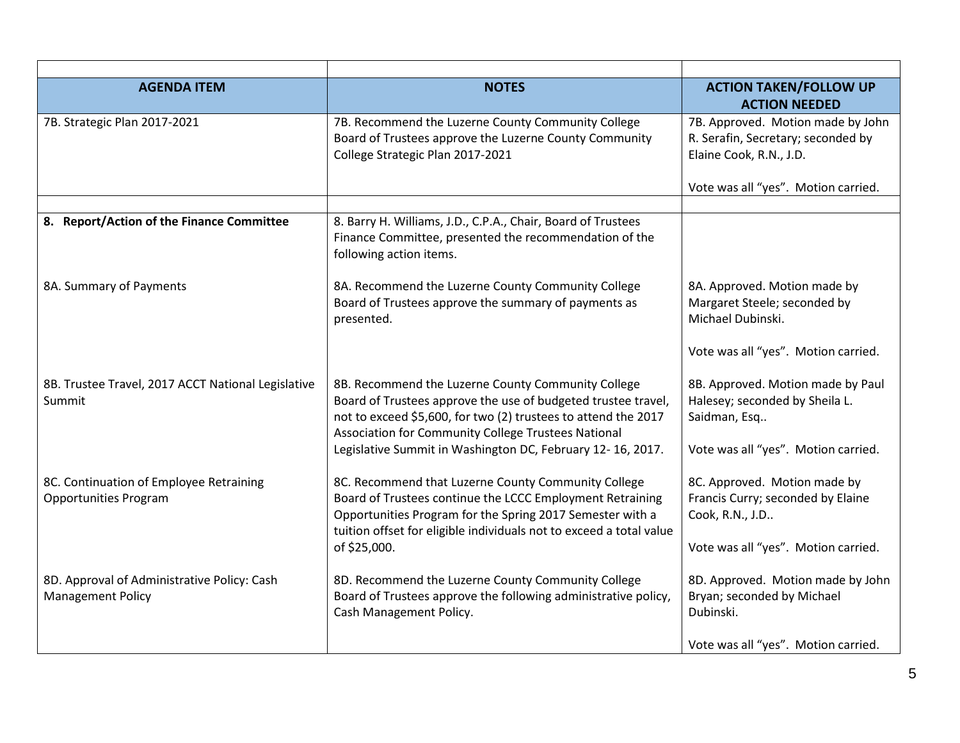| <b>AGENDA ITEM</b>                                                      | <b>NOTES</b>                                                                                                                                                                                                                                         | <b>ACTION TAKEN/FOLLOW UP</b><br><b>ACTION NEEDED</b>                                                                                     |
|-------------------------------------------------------------------------|------------------------------------------------------------------------------------------------------------------------------------------------------------------------------------------------------------------------------------------------------|-------------------------------------------------------------------------------------------------------------------------------------------|
| 7B. Strategic Plan 2017-2021                                            | 7B. Recommend the Luzerne County Community College<br>Board of Trustees approve the Luzerne County Community<br>College Strategic Plan 2017-2021                                                                                                     | 7B. Approved. Motion made by John<br>R. Serafin, Secretary; seconded by<br>Elaine Cook, R.N., J.D.<br>Vote was all "yes". Motion carried. |
|                                                                         |                                                                                                                                                                                                                                                      |                                                                                                                                           |
| 8. Report/Action of the Finance Committee                               | 8. Barry H. Williams, J.D., C.P.A., Chair, Board of Trustees<br>Finance Committee, presented the recommendation of the<br>following action items.                                                                                                    |                                                                                                                                           |
| 8A. Summary of Payments                                                 | 8A. Recommend the Luzerne County Community College<br>Board of Trustees approve the summary of payments as<br>presented.                                                                                                                             | 8A. Approved. Motion made by<br>Margaret Steele; seconded by<br>Michael Dubinski.                                                         |
|                                                                         |                                                                                                                                                                                                                                                      | Vote was all "yes". Motion carried.                                                                                                       |
| 8B. Trustee Travel, 2017 ACCT National Legislative<br>Summit            | 8B. Recommend the Luzerne County Community College<br>Board of Trustees approve the use of budgeted trustee travel,<br>not to exceed \$5,600, for two (2) trustees to attend the 2017<br>Association for Community College Trustees National         | 8B. Approved. Motion made by Paul<br>Halesey; seconded by Sheila L.<br>Saidman, Esq                                                       |
|                                                                         | Legislative Summit in Washington DC, February 12-16, 2017.                                                                                                                                                                                           | Vote was all "yes". Motion carried.                                                                                                       |
| 8C. Continuation of Employee Retraining<br><b>Opportunities Program</b> | 8C. Recommend that Luzerne County Community College<br>Board of Trustees continue the LCCC Employment Retraining<br>Opportunities Program for the Spring 2017 Semester with a<br>tuition offset for eligible individuals not to exceed a total value | 8C. Approved. Motion made by<br>Francis Curry; seconded by Elaine<br>Cook, R.N., J.D                                                      |
|                                                                         | of \$25,000.                                                                                                                                                                                                                                         | Vote was all "yes". Motion carried.                                                                                                       |
| 8D. Approval of Administrative Policy: Cash<br><b>Management Policy</b> | 8D. Recommend the Luzerne County Community College<br>Board of Trustees approve the following administrative policy,<br>Cash Management Policy.                                                                                                      | 8D. Approved. Motion made by John<br>Bryan; seconded by Michael<br>Dubinski.                                                              |
|                                                                         |                                                                                                                                                                                                                                                      | Vote was all "yes". Motion carried.                                                                                                       |